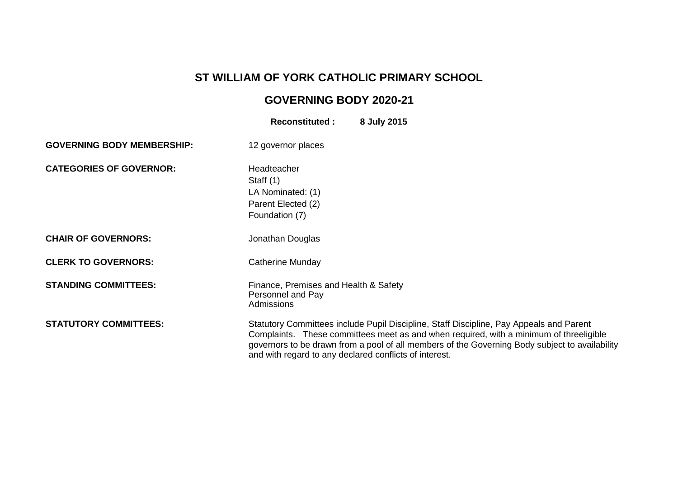## **ST WILLIAM OF YORK CATHOLIC PRIMARY SCHOOL**

## **GOVERNING BODY 2020-21**

|                                   | <b>Reconstituted:</b>                                                                   | 8 July 2015                                                                                                                                                                                                                                                                         |
|-----------------------------------|-----------------------------------------------------------------------------------------|-------------------------------------------------------------------------------------------------------------------------------------------------------------------------------------------------------------------------------------------------------------------------------------|
| <b>GOVERNING BODY MEMBERSHIP:</b> | 12 governor places                                                                      |                                                                                                                                                                                                                                                                                     |
| <b>CATEGORIES OF GOVERNOR:</b>    | Headteacher<br>Staff $(1)$<br>LA Nominated: (1)<br>Parent Elected (2)<br>Foundation (7) |                                                                                                                                                                                                                                                                                     |
| <b>CHAIR OF GOVERNORS:</b>        | Jonathan Douglas                                                                        |                                                                                                                                                                                                                                                                                     |
| <b>CLERK TO GOVERNORS:</b>        | <b>Catherine Munday</b>                                                                 |                                                                                                                                                                                                                                                                                     |
| <b>STANDING COMMITTEES:</b>       | Finance, Premises and Health & Safety<br>Personnel and Pay<br><b>Admissions</b>         |                                                                                                                                                                                                                                                                                     |
| <b>STATUTORY COMMITTEES:</b>      | and with regard to any declared conflicts of interest.                                  | Statutory Committees include Pupil Discipline, Staff Discipline, Pay Appeals and Parent<br>Complaints. These committees meet as and when required, with a minimum of threeligible<br>governors to be drawn from a pool of all members of the Governing Body subject to availability |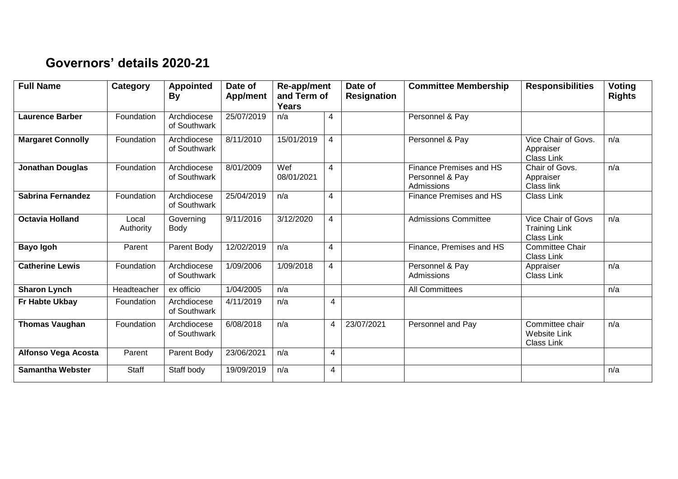## **Governors' details 2020-21**

| <b>Full Name</b>         | <b>Category</b>    | <b>Appointed</b><br><b>By</b> | Date of<br>App/ment | Re-app/ment<br>and Term of<br><b>Years</b> |   |            |                                                          | Date of<br><b>Resignation</b>                                   | <b>Committee Membership</b> | <b>Responsibilities</b> | Voting<br><b>Rights</b> |
|--------------------------|--------------------|-------------------------------|---------------------|--------------------------------------------|---|------------|----------------------------------------------------------|-----------------------------------------------------------------|-----------------------------|-------------------------|-------------------------|
| <b>Laurence Barber</b>   | Foundation         | Archdiocese<br>of Southwark   | 25/07/2019          | n/a                                        | 4 |            | Personnel & Pay                                          |                                                                 |                             |                         |                         |
| <b>Margaret Connolly</b> | Foundation         | Archdiocese<br>of Southwark   | 8/11/2010           | 15/01/2019                                 | 4 |            | Personnel & Pay                                          | Vice Chair of Govs.<br>Appraiser<br>Class Link                  | n/a                         |                         |                         |
| <b>Jonathan Douglas</b>  | Foundation         | Archdiocese<br>of Southwark   | 8/01/2009           | Wef<br>08/01/2021                          | 4 |            | Finance Premises and HS<br>Personnel & Pay<br>Admissions | Chair of Govs.<br>Appraiser<br>Class link                       | n/a                         |                         |                         |
| <b>Sabrina Fernandez</b> | Foundation         | Archdiocese<br>of Southwark   | 25/04/2019          | n/a                                        | 4 |            | Finance Premises and HS                                  | Class Link                                                      |                             |                         |                         |
| <b>Octavia Holland</b>   | Local<br>Authority | Governing<br>Body             | 9/11/2016           | 3/12/2020                                  | 4 |            | <b>Admissions Committee</b>                              | Vice Chair of Govs<br><b>Training Link</b><br><b>Class Link</b> | n/a                         |                         |                         |
| <b>Bayo Igoh</b>         | Parent             | Parent Body                   | 12/02/2019          | n/a                                        | 4 |            | Finance, Premises and HS                                 | <b>Committee Chair</b><br><b>Class Link</b>                     |                             |                         |                         |
| <b>Catherine Lewis</b>   | Foundation         | Archdiocese<br>of Southwark   | 1/09/2006           | 1/09/2018                                  | 4 |            | Personnel & Pay<br>Admissions                            | Appraiser<br>Class Link                                         | n/a                         |                         |                         |
| <b>Sharon Lynch</b>      | Headteacher        | ex officio                    | 1/04/2005           | n/a                                        |   |            | All Committees                                           |                                                                 | n/a                         |                         |                         |
| Fr Habte Ukbay           | Foundation         | Archdiocese<br>of Southwark   | 4/11/2019           | n/a                                        | 4 |            |                                                          |                                                                 |                             |                         |                         |
| <b>Thomas Vaughan</b>    | Foundation         | Archdiocese<br>of Southwark   | 6/08/2018           | n/a                                        | 4 | 23/07/2021 | Personnel and Pay                                        | Committee chair<br><b>Website Link</b><br>Class Link            | n/a                         |                         |                         |
| Alfonso Vega Acosta      | Parent             | Parent Body                   | 23/06/2021          | n/a                                        | 4 |            |                                                          |                                                                 |                             |                         |                         |
| <b>Samantha Webster</b>  | Staff              | Staff body                    | 19/09/2019          | n/a                                        | 4 |            |                                                          |                                                                 | n/a                         |                         |                         |